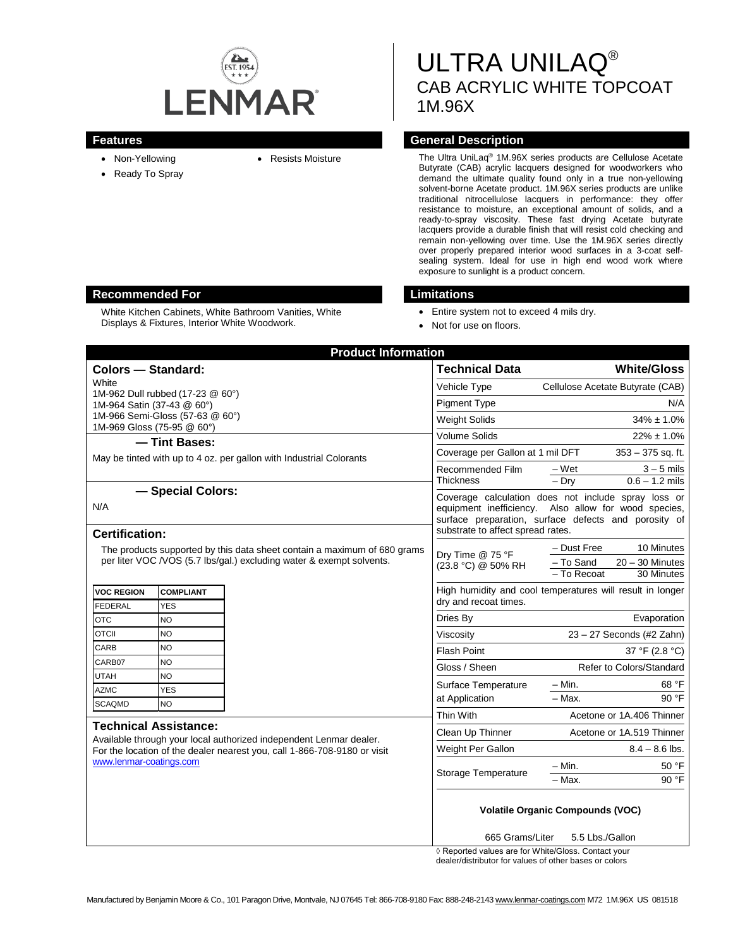

- Non-Yellowing
- Ready To Spray
- 

# ULTRA UNILAQ® CAB ACRYLIC WHITE TOPCOAT 1M.96X

# **Features General Description**

• Resists Moisture The Ultra UniLaq® 1M.96X series products are Cellulose Acetate Butyrate (CAB) acrylic lacquers designed for woodworkers who demand the ultimate quality found only in a true non-yellowing solvent-borne Acetate product. 1M.96X series products are unlike traditional nitrocellulose lacquers in performance: they offer resistance to moisture, an exceptional amount of solids, and a ready-to-spray viscosity. These fast drying Acetate butyrate lacquers provide a durable finish that will resist cold checking and remain non-yellowing over time. Use the 1M.96X series directly over properly prepared interior wood surfaces in a 3-coat selfsealing system. Ideal for use in high end wood work where exposure to sunlight is a product concern.

# **Recommended For Limitations**

White Kitchen Cabinets, White Bathroom Vanities, White Displays & Fixtures, Interior White Woodwork.

- Entire system not to exceed 4 mils dry.
- Not for use on floors.

| <b>Product Information</b>                                                                                                                                                                                |                                                  |                                                                                                                                                                                                   |                                                      |  |
|-----------------------------------------------------------------------------------------------------------------------------------------------------------------------------------------------------------|--------------------------------------------------|---------------------------------------------------------------------------------------------------------------------------------------------------------------------------------------------------|------------------------------------------------------|--|
| <b>Colors - Standard:</b>                                                                                                                                                                                 |                                                  | <b>Technical Data</b>                                                                                                                                                                             | <b>White/Gloss</b>                                   |  |
| White                                                                                                                                                                                                     |                                                  | Vehicle Type                                                                                                                                                                                      | Cellulose Acetate Butyrate (CAB)                     |  |
| 1M-962 Dull rubbed (17-23 @ 60°)<br>1M-964 Satin (37-43 @ 60°)                                                                                                                                            |                                                  | <b>Pigment Type</b>                                                                                                                                                                               | N/A                                                  |  |
| 1M-966 Semi-Gloss (57-63 @ 60°)                                                                                                                                                                           |                                                  | <b>Weight Solids</b>                                                                                                                                                                              | $34\% \pm 1.0\%$                                     |  |
| 1M-969 Gloss (75-95 @ 60°)                                                                                                                                                                                |                                                  | Volume Solids                                                                                                                                                                                     | $22\% \pm 1.0\%$                                     |  |
| - Tint Bases:<br>May be tinted with up to 4 oz. per gallon with Industrial Colorants                                                                                                                      |                                                  | Coverage per Gallon at 1 mil DFT                                                                                                                                                                  | $353 - 375$ sq. ft.                                  |  |
|                                                                                                                                                                                                           |                                                  | Recommended Film                                                                                                                                                                                  |                                                      |  |
|                                                                                                                                                                                                           |                                                  | <b>Thickness</b>                                                                                                                                                                                  | $-Wet$<br>$3 - 5$ mils<br>$-Dry$<br>$0.6 - 1.2$ mils |  |
| - Special Colors:                                                                                                                                                                                         |                                                  |                                                                                                                                                                                                   | Coverage calculation does not include spray loss or  |  |
| N/A                                                                                                                                                                                                       |                                                  | equipment inefficiency. Also allow for wood species,<br>surface preparation, surface defects and porosity of<br>substrate to affect spread rates.                                                 |                                                      |  |
|                                                                                                                                                                                                           |                                                  |                                                                                                                                                                                                   |                                                      |  |
| <b>Certification:</b>                                                                                                                                                                                     |                                                  |                                                                                                                                                                                                   |                                                      |  |
| The products supported by this data sheet contain a maximum of 680 grams<br>per liter VOC /VOS (5.7 lbs/gal.) excluding water & exempt solvents.                                                          |                                                  | - Dust Free<br>10 Minutes<br>Dry Time @ 75 °F<br>- To Sand<br>$20 - 30$ Minutes<br>(23.8 °C) @ 50% RH<br>$-$ To Recoat<br>30 Minutes<br>High humidity and cool temperatures will result in longer |                                                      |  |
|                                                                                                                                                                                                           |                                                  |                                                                                                                                                                                                   |                                                      |  |
|                                                                                                                                                                                                           |                                                  |                                                                                                                                                                                                   |                                                      |  |
| <b>VOC REGION</b>                                                                                                                                                                                         | <b>COMPLIANT</b><br><b>FEDERAL</b><br><b>YES</b> |                                                                                                                                                                                                   | dry and recoat times.                                |  |
| <b>OTC</b>                                                                                                                                                                                                | NO.                                              | Dries By                                                                                                                                                                                          | Evaporation                                          |  |
| <b>OTCII</b>                                                                                                                                                                                              | NO.                                              | Viscosity                                                                                                                                                                                         | 23 - 27 Seconds (#2 Zahn)                            |  |
| CARB                                                                                                                                                                                                      | NO                                               | Flash Point                                                                                                                                                                                       | 37 °F (2.8 °C)                                       |  |
| CARB07                                                                                                                                                                                                    | NO                                               | Gloss / Sheen                                                                                                                                                                                     | Refer to Colors/Standard                             |  |
| <b>UTAH</b>                                                                                                                                                                                               | NO                                               |                                                                                                                                                                                                   |                                                      |  |
| <b>AZMC</b>                                                                                                                                                                                               | <b>YES</b>                                       | Surface Temperature<br>at Application                                                                                                                                                             | 68 °F<br>$-$ Min.<br>- Max.<br>90 °F                 |  |
| <b>SCAQMD</b>                                                                                                                                                                                             | NO.                                              |                                                                                                                                                                                                   |                                                      |  |
| <b>Technical Assistance:</b><br>Available through your local authorized independent Lenmar dealer.<br>For the location of the dealer nearest you, call 1-866-708-9180 or visit<br>www.lenmar-coatings.com |                                                  | Thin With                                                                                                                                                                                         | Acetone or 1A.406 Thinner                            |  |
|                                                                                                                                                                                                           |                                                  | Clean Up Thinner                                                                                                                                                                                  | Acetone or 1A.519 Thinner                            |  |
|                                                                                                                                                                                                           |                                                  | Weight Per Gallon                                                                                                                                                                                 | $8.4 - 8.6$ lbs.                                     |  |
|                                                                                                                                                                                                           |                                                  | <b>Storage Temperature</b>                                                                                                                                                                        | $- Min.$<br>50 °F                                    |  |
|                                                                                                                                                                                                           |                                                  |                                                                                                                                                                                                   | $-$ Max.<br>90 °F                                    |  |
|                                                                                                                                                                                                           |                                                  | <b>Volatile Organic Compounds (VOC)</b>                                                                                                                                                           |                                                      |  |
|                                                                                                                                                                                                           |                                                  |                                                                                                                                                                                                   |                                                      |  |
|                                                                                                                                                                                                           |                                                  | 665 Grams/Liter<br>5.5 Lbs./Gallon                                                                                                                                                                |                                                      |  |

◊ Reported values are for White/Gloss. Contact your dealer/distributor for values of other bases or colors